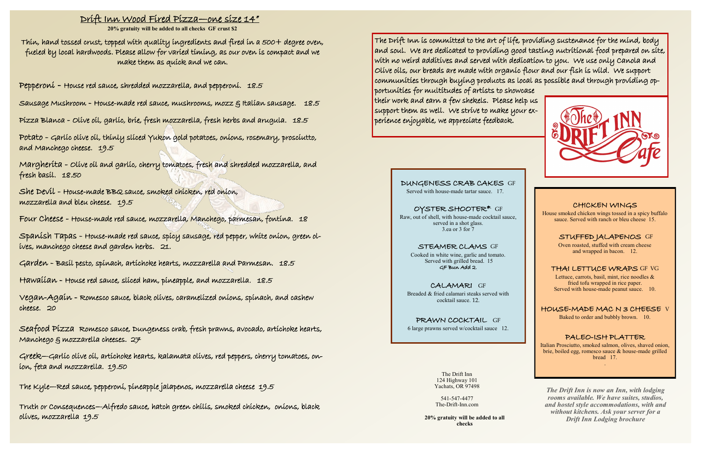### CHICKEN WINGS

House smoked chicken wings tossed in a spicy buffalo sauce. Served with ranch or bleu cheese 15.

### STUFFED JALAPENOS GF

Oven roasted, stuffed with cream cheese and wrapped in bacon. 12.

### THAI LETTUCE WRAPS GF VG

Lettuce, carrots, basil, mint, rice noodles & fried tofu wrapped in rice paper. Served with house-made peanut sauce. 10.

HOUSE-MADE MAC N 3 CHEESE V

Baked to order and bubbly brown. 10.

### PALEO-ISH PLATTER

Italian Prosciutto, smoked salmon, olives, shaved onion, brie, boiled egg, romesco sauce & house-made grilled bread 17. .

The  $\mathsf{Drift}$  inn is committed to the art of life, providing sustenance for the mind, body and soul. We are dedicated to providing good tasting nutritional food prepared on site, with no weird additives and served with dedication to you. We use only Canola and Olive oils, our breads are made with organic flour and our fish is wild. We support communities through buying products as local as possible and through providing opportunities for multitudes of artists to showcase their work and earn a few shekels. Please help us support them as well. We strive to make your experience enjoyable, we appreciate feedback.

# Drift Inn Wood Fired Pizza—one size 14"

**20% gratuity will be added to all checks GF crust \$2**

Thin, hand tossed crust, topped with quality ingredients and fired in a 500+ degree oven, fueled by local hardwoods. Please allow for varied timing, as our oven is compact and we make them as quick and we can.

Pepperoni - House red sauce, shredded mozzarella, and pepperoni. 18.5

Sausage Mushroom - House-made red sauce, mushrooms, mozz & Italian sausage. 18.5

Pizza Blanca - Olive oil, garlic, brie, fresh mozzarella, fresh herbs and arugula. 18.5

Potato - Garlic olive oil, thinly sliced Yukon gold potatoes, onions, rosemary, prosciutto, and Manchego cheese. 19.5

Margherita - Olive oil and garlic, cherry tomatoes, fresh and shredded mozzarella, and fresh basil. 18.50

She Devil - House-made BBQ sauce, smoked chicken, red onion, mozzarella and bleu cheese. 19.5

Four Cheese - House-made red sauce, mozzarella, Manchego, parmesan, fontina. 18

Spanish Tapas - House-made red sauce, spicy sausage, red pepper, white onion, green olives, manchego cheese and garden herbs. 21.

Garden - Basil pesto, spinach, artichoke hearts, mozzarella and Parmesan. 18.5

Hawaiian - House red sauce, sliced ham, pineapple, and mozzarella. 18.5

Vegan-Again - Romesco sauce, black olives, caramelized onions, spinach, and cashew cheese. 20

Seafood Pizza Romesco sauce, Dungeness crab, fresh prawns, avocado, artichoke hearts, Manchego & mozzarella cheeses. 27

Greek—Garlic olive oil, artichoke hearts, kalamata olives, red peppers, cherry tomatoes, onion, feta and mozzarella. 19.50

The Kyle—Red sauce, pepperoni, pineapple jalapenos, mozzarella cheese 19.5

Truth or Consequences—Alfredo sauce, hatch green chilis, smoked chicken, onions, black olives, mozzarella 19.5

### DUNGENESS CRAB CAKES GF

Served with house-made tartar sauce. 17.

OYSTER SHOOTER\* GF Raw, out of shell, with house-made cocktail sauce, served in a shot glass. 3.ea or 3 for 7

### STEAMER CLAMS GF

Cooked in white wine, garlic and tomato. Served with grilled bread. 15 GF Bun Add 2.

CALAMARI GF Breaded & fried calamari steaks served with cocktail sauce. 12.

PRAWN COCKTAIL GF 6 large prawns served w/cocktail sauce 12.

> The Drift Inn 124 Highway 101 Yachats, OR 97498

541-547-4477 The-Drift-Inn.com

*The Drift Inn is now an Inn, with lodging rooms available. We have suites, studios, and hostel style accommodations, with and without kitchens. Ask your server for a Drift Inn Lodging brochure* **20% gratuity will be added to all** 

**checks**

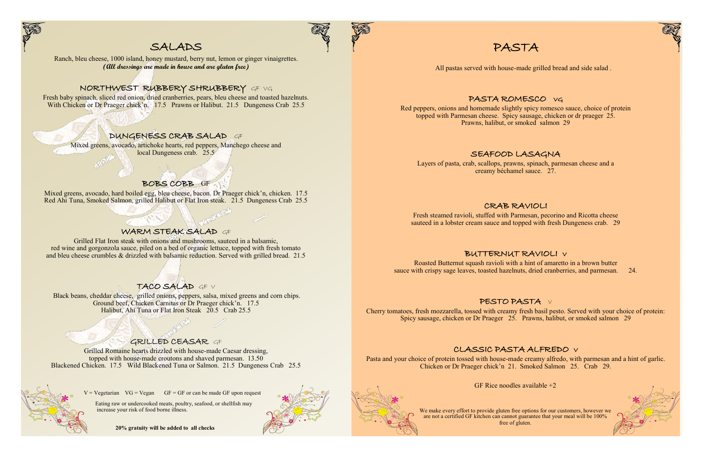

# SALADS

Ranch, bleu cheese, 1000 island, honey mustard, berry nut, lemon or ginger vinaigrettes. **(All dressings are made in house and are gluten free)**

Fresh baby spinach, sliced red onion, dried cranberries, pears, bleu cheese and toasted hazelnuts. With Chicken or Dr Praeger chick'n. 17.5 Prawns or Halibut. 21.5 Dungeness Crab 25.5

# NORTHWEST RUBBERY SHRUBBERY GF VG

# DUNGENESS CRAB SALAD GF

Mixed greens, avocado, artichoke hearts, red peppers, Manchego cheese and local Dungeness crab. 25.5

### BOBS COBB GF

Mixed greens, avocado, hard boiled egg, bleu cheese, bacon. Dr Praeger chick'n, chicken. 17.5 Red Ahi Tuna, Smoked Salmon, grilled Halibut or Flat Iron steak. 21.5 Dungeness Crab 25.5

# WARM STEAK SALAD OF

Eating raw or undercooked meats, poultry, seafood, or shellfish may increase your risk of food borne illness.

Grilled Flat Iron steak with onions and mushrooms, sauteed in a balsamic, red wine and gorgonzola sauce, piled on a bed of organic lettuce, topped with fresh tomato and bleu cheese crumbles & drizzled with balsamic reduction. Served with grilled bread. 21.5

# TACO SALAD GF V

Black beans, cheddar cheese, grilled onions, peppers, salsa, mixed greens and corn chips. Ground beef, Chicken Carnitas or Dr Praeger chick'n. 17.5 Halibut, Ahi Tuna or Flat Iron Steak 20.5 Crab 25.5

# GRILLED CEASAR GF

Grilled Romaine hearts drizzled with house-made Caesar dressing, topped with house-made croutons and shaved parmesan. 13.50 Blackened Chicken. 17.5 Wild Blackened Tuna or Salmon. 21.5 Dungeness Crab 25.5



 $V = Vegetarian$   $VG = Vega$  GF = GF or can be made GF upon request

 **20% gratuity will be added to all checks**



# PASTA

## PASTA ROMESCO VG

Red peppers, onions and homemade slightly spicy romesco sauce, choice of protein topped with Parmesan cheese. Spicy sausage, chicken or dr praeger 25. Prawns, halibut, or smoked salmon 29

# SEAFOOD LASAGNA

Layers of pasta, crab, scallops, prawns, spinach, parmesan cheese and a creamy béchamel sauce. 27.

## CRAB RAVIOLI

Fresh steamed ravioli, stuffed with Parmesan, pecorino and Ricotta cheese sauteed in a lobster cream sauce and topped with fresh Dungeness crab. 29

# BUTTERNUT RAVIOLI V

Roasted Butternut squash ravioli with a hint of amaretto in a brown butter sauce with crispy sage leaves, toasted hazelnuts, dried cranberries, and parmesan. 24.

# PESTO PASTA V

Cherry tomatoes, fresh mozzarella, tossed with creamy fresh basil pesto. Served with your choice of protein: Spicy sausage, chicken or Dr Praeger 25. Prawns, halibut, or smoked salmon 29

# CLASSIC PASTA ALFREDO V

Pasta and your choice of protein tossed with house-made creamy alfredo, with parmesan and a hint of garlic. Chicken or Dr Praeger chick'n 21. Smoked Salmon 25. Crab 29.

GF Rice noodles available  $+2$ 

We make every effort to provide gluten free options for our customers, however we are not a certified GF kitchen can cannot guarantee that your meal will be 100% free of gluten.





All pastas served with house-made grilled bread and side salad .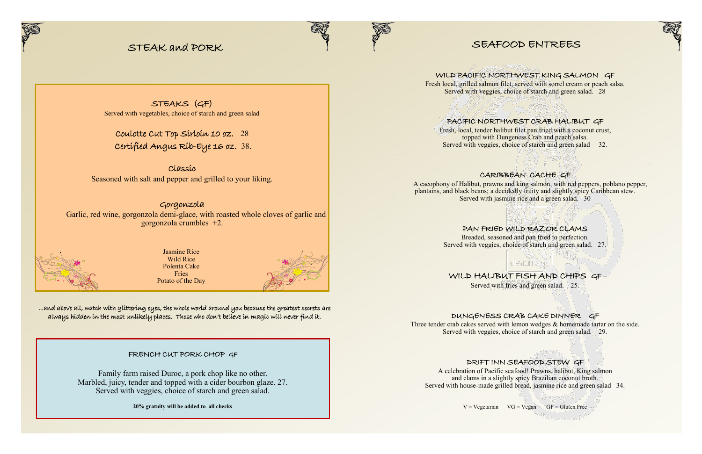# SEAFOOD ENTREES

Fresh local, grilled salmon filet, served with sorrel cream or peach salsa. Served with veggies, choice of starch and green salad. 28

## WILD PACIFIC NORTHWEST KING SALMON GF

Fresh, local, tender halibut filet pan fried with a coconut crust, topped with Dungeness Crab and peach salsa. Served with veggies, choice of starch and green salad 32.

 A cacophony of Halibut, prawns and king salmon, with red peppers, poblano pepper, plantains, and black beans; a decidedly fruity and slightly spicy Caribbean stew. Served with jasmine rice and a green salad. 30

# PACIFIC NORTHWEST CRAB HALIBUT GF

WILD HALIBUT FISH AND CHIPS GF Served with fries and green salad. 25.

### CARIBBEAN CACHE GF

DUNGENESS CRAB CAKE DINNER GF Three tender crab cakes served with lemon wedges & homemade tartar on the side. Served with veggies, choice of starch and green salad. 29.

PAN FRIED WILD RAZOR CLAMS Breaded, seasoned and pan fried to perfection. Served with veggies, choice of starch and green salad. 27.

# DRIFT INN SEAFOOD STEW GF

A celebration of Pacific seafood! Prawns, halibut, King salmon and clams in a slightly spicy Brazilian coconut broth. Served with house-made grilled bread, jasmine rice and green salad 34.

 $V = Vegetarian$   $VG = Vegan$   $GF = Gluten$  Free



# STEAK and PORK



STEAKS (GF) Served with vegetables, choice of starch and green salad

Coulotte Cut Top Sirloin 10 oz. 28 Certified Angus Rib-Eye 16 oz. 38.

Classic Seasoned with salt and pepper and grilled to your liking.

# Gorgonzola

 Garlic, red wine, gorgonzola demi-glace, with roasted whole cloves of garlic and gorgonzola crumbles +2.



FRENCH CUT PORK CHOP GF

Family farm raised Duroc, a pork chop like no other. Marbled, juicy, tender and topped with a cider bourbon glaze. 27. Served with veggies, choice of starch and green salad.

**20% gratuity will be added to all checks**



...and above all, watch with glittering eyes, the whole world around you because the greatest secrets are always hidden in the most unlikely places. Those who don't believe in magic will never find it.

Jasmine Rice Wild Rice Polenta Cake Fries Potato of the Day